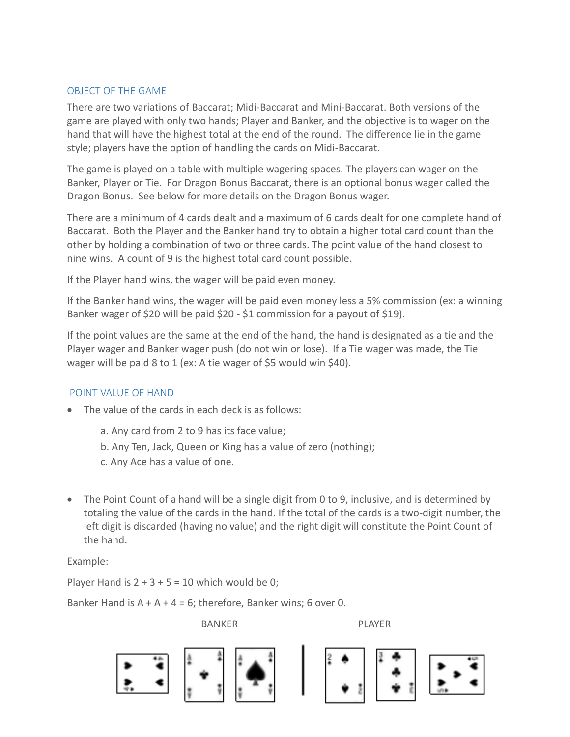## OBJECT OF THE GAME

There are two variations of Baccarat; Midi-Baccarat and Mini-Baccarat. Both versions of the game are played with only two hands; Player and Banker, and the objective is to wager on the hand that will have the highest total at the end of the round. The difference lie in the game style; players have the option of handling the cards on Midi-Baccarat.

The game is played on a table with multiple wagering spaces. The players can wager on the Banker, Player or Tie. For Dragon Bonus Baccarat, there is an optional bonus wager called the Dragon Bonus. See below for more details on the Dragon Bonus wager.

There are a minimum of 4 cards dealt and a maximum of 6 cards dealt for one complete hand of Baccarat. Both the Player and the Banker hand try to obtain a higher total card count than the other by holding a combination of two or three cards. The point value of the hand closest to nine wins. A count of 9 is the highest total card count possible.

If the Player hand wins, the wager will be paid even money.

If the Banker hand wins, the wager will be paid even money less a 5% commission (ex: a winning Banker wager of \$20 will be paid \$20 - \$1 commission for a payout of \$19).

If the point values are the same at the end of the hand, the hand is designated as a tie and the Player wager and Banker wager push (do not win or lose). If a Tie wager was made, the Tie wager will be paid 8 to 1 (ex: A tie wager of \$5 would win \$40).

# POINT VALUE OF HAND

- The value of the cards in each deck is as follows:
	- a. Any card from 2 to 9 has its face value;
	- b. Any Ten, Jack, Queen or King has a value of zero (nothing);
	- c. Any Ace has a value of one.
- The Point Count of a hand will be a single digit from 0 to 9, inclusive, and is determined by totaling the value of the cards in the hand. If the total of the cards is a two-digit number, the left digit is discarded (having no value) and the right digit will constitute the Point Count of the hand.

Example:

Player Hand is  $2 + 3 + 5 = 10$  which would be 0;

Banker Hand is  $A + A + 4 = 6$ ; therefore, Banker wins; 6 over 0.

BANKER PLAYER

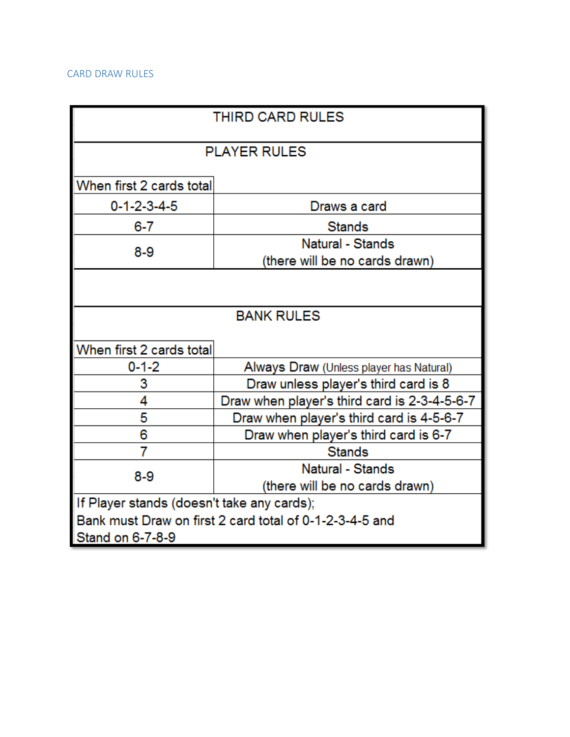### CARD DRAW RULES

| THIRD CARD RULES                                        |                                              |  |
|---------------------------------------------------------|----------------------------------------------|--|
| <b>PLAYER RULES</b>                                     |                                              |  |
|                                                         |                                              |  |
| When first 2 cards total                                |                                              |  |
| $0 - 1 - 2 - 3 - 4 - 5$                                 | Draws a card                                 |  |
| 6-7                                                     | <b>Stands</b>                                |  |
| $8-9$                                                   | Natural - Stands                             |  |
|                                                         | (there will be no cards drawn)               |  |
|                                                         |                                              |  |
|                                                         |                                              |  |
| <b>BANK RULES</b>                                       |                                              |  |
|                                                         |                                              |  |
| When first 2 cards total                                |                                              |  |
| $0 - 1 - 2$                                             | Always Draw (Unless player has Natural)      |  |
| 3                                                       | Draw unless player's third card is 8         |  |
| 4                                                       | Draw when player's third card is 2-3-4-5-6-7 |  |
| 5                                                       | Draw when player's third card is 4-5-6-7     |  |
| 6                                                       | Draw when player's third card is 6-7         |  |
| 7                                                       | <b>Stands</b>                                |  |
| $8-9$                                                   | Natural - Stands                             |  |
|                                                         | (there will be no cards drawn)               |  |
| If Player stands (doesn't take any cards);              |                                              |  |
| Bank must Draw on first 2 card total of 0-1-2-3-4-5 and |                                              |  |
| Stand on 6-7-8-9                                        |                                              |  |